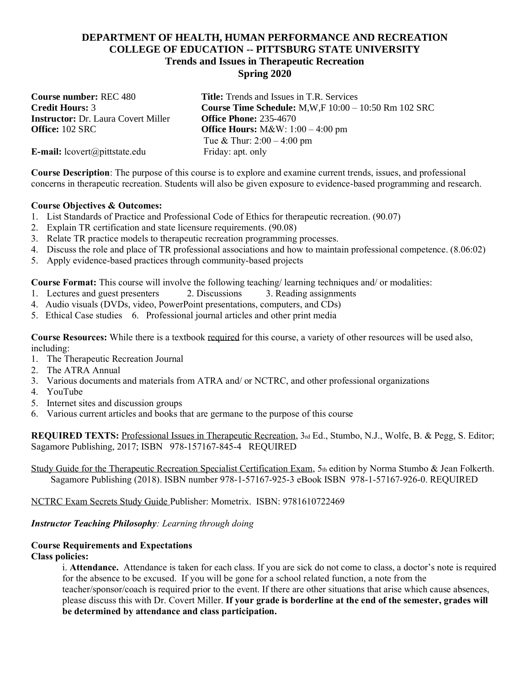# **DEPARTMENT OF HEALTH, HUMAN PERFORMANCE AND RECREATION COLLEGE OF EDUCATION -- PITTSBURG STATE UNIVERSITY Trends and Issues in Therapeutic Recreation Spring 2020**

**Instructor: Dr. Laura Covert Miller** 

**Course number:** REC 480 **Title:** Trends and Issues in T.R. Services **Credit Hours: 3 Course Time Schedule:** M,W,F 10:00 – 10:50 Rm 102 SRC **Instructor:** Dr. Laura Covert Miller **Office Phone:** 235-4670 **Office:** 102 SRC **Office Hours:** M&W: 1:00 – 4:00 pm Tue & Thur: 2:00 – 4:00 pm

**E-mail:** lcovert@pittstate.edu Friday: apt. only

**Course Description**: The purpose of this course is to explore and examine current trends, issues, and professional concerns in therapeutic recreation. Students will also be given exposure to evidence-based programming and research.

## **Course Objectives & Outcomes:**

- 1. List Standards of Practice and Professional Code of Ethics for therapeutic recreation. (90.07)
- 2. Explain TR certification and state licensure requirements. (90.08)
- 3. Relate TR practice models to therapeutic recreation programming processes.
- 4. Discuss the role and place of TR professional associations and how to maintain professional competence. (8.06:02)
- 5. Apply evidence-based practices through community-based projects

**Course Format:** This course will involve the following teaching/ learning techniques and/ or modalities:<br>1. Lectures and guest presenters 2. Discussions 3. Reading assignments

- 1. Lectures and guest presenters 2. Discussions
- 4. Audio visuals (DVDs, video, PowerPoint presentations, computers, and CDs)
- 5. Ethical Case studies 6. Professional journal articles and other print media

**Course Resources:** While there is a textbook required for this course, a variety of other resources will be used also, including:

- 1. The Therapeutic Recreation Journal
- 2. The ATRA Annual
- 3. Various documents and materials from ATRA and/ or NCTRC, and other professional organizations
- 4. YouTube
- 5. Internet sites and discussion groups
- 6. Various current articles and books that are germane to the purpose of this course

**REQUIRED TEXTS:** Professional Issues in Therapeutic Recreation, 3rd Ed., Stumbo, N.J., Wolfe, B. & Pegg, S. Editor; Sagamore Publishing, 2017; ISBN 978-157167-845-4 REQUIRED

Study Guide for the Therapeutic Recreation Specialist Certification Exam, 5th edition by Norma Stumbo & Jean Folkerth. Sagamore Publishing (2018). ISBN number 978-1-57167-925-3 eBook ISBN 978-1-57167-926-0. REQUIRED

NCTRC Exam Secrets Study Guide Publisher: Mometrix. ISBN: 9781610722469

# *Instructor Teaching Philosophy: Learning through doing*

# **Course Requirements and Expectations**

**Class policies:**

i. **Attendance.** Attendance is taken for each class. If you are sick do not come to class, a doctor's note is required for the absence to be excused. If you will be gone for a school related function, a note from the teacher/sponsor/coach is required prior to the event. If there are other situations that arise which cause absences, please discuss this with Dr. Covert Miller. **If your grade is borderline at the end of the semester, grades will be determined by attendance and class participation.**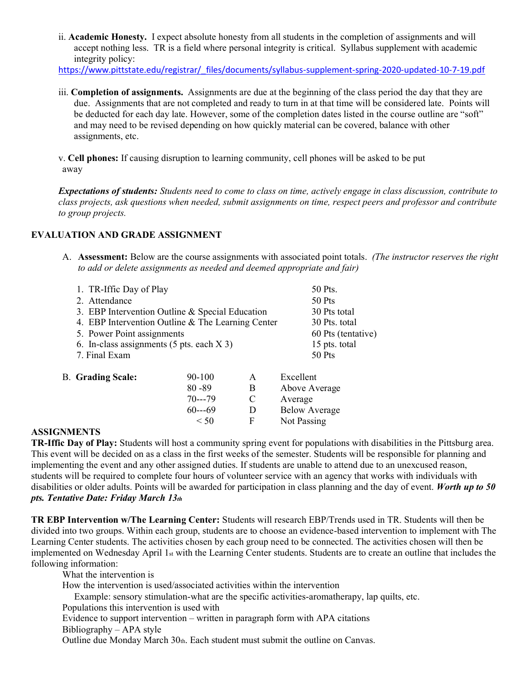ii. **Academic Honesty.** I expect absolute honesty from all students in the completion of assignments and will accept nothing less. TR is a field where personal integrity is critical. Syllabus supplement with academic integrity policy:

[https://www.pittstate.edu/registrar/\\_files/documents/syllabus-supplement-spring-2020-updated-10-7-19.pdf](https://www.pittstate.edu/registrar/_files/documents/syllabus-supplement-spring-2020-updated-10-7-19.pdf)

iii. **Completion of assignments.** Assignments are due at the beginning of the class period the day that they are due. Assignments that are not completed and ready to turn in at that time will be considered late. Points will be deducted for each day late. However, some of the completion dates listed in the course outline are "soft" and may need to be revised depending on how quickly material can be covered, balance with other assignments, etc.

v. **Cell phones:** If causing disruption to learning community, cell phones will be asked to be put away

*Expectations of students: Students need to come to class on time, actively engage in class discussion, contribute to class projects, ask questions when needed, submit assignments on time, respect peers and professor and contribute to group projects.*

#### **EVALUATION AND GRADE ASSIGNMENT**

A. **Assessment:** Below are the course assignments with associated point totals. *(The instructor reserves the right to add or delete assignments as needed and deemed appropriate and fair)*

| 1. TR-Iffic Day of Play<br>2. Attendance<br>3. EBP Intervention Outline & Special Education<br>4. EBP Intervention Outline & The Learning Center<br>5. Power Point assignments<br>6. In-class assignments $(5 \text{ pts. each } X 3)$<br>7. Final Exam |           |   | 50 Pts.<br>$50$ Pts<br>30 Pts total<br>30 Pts. total<br>60 Pts (tentative)<br>15 pts. total<br>$50$ Pts |
|---------------------------------------------------------------------------------------------------------------------------------------------------------------------------------------------------------------------------------------------------------|-----------|---|---------------------------------------------------------------------------------------------------------|
| <b>B.</b> Grading Scale:                                                                                                                                                                                                                                | 90-100    | A | Excellent                                                                                               |
|                                                                                                                                                                                                                                                         | $80 - 89$ | B | Above Average                                                                                           |
|                                                                                                                                                                                                                                                         | $70--79$  | C | Average                                                                                                 |
|                                                                                                                                                                                                                                                         | $60--69$  | D | <b>Below Average</b>                                                                                    |
|                                                                                                                                                                                                                                                         | < 50      | F | Not Passing                                                                                             |

### **ASSIGNMENTS**

**TR-Iffic Day of Play:** Students will host a community spring event for populations with disabilities in the Pittsburg area. This event will be decided on as a class in the first weeks of the semester. Students will be responsible for planning and implementing the event and any other assigned duties. If students are unable to attend due to an unexcused reason, students will be required to complete four hours of volunteer service with an agency that works with individuals with disabilities or older adults. Points will be awarded for participation in class planning and the day of event. *Worth up to 50 pts. Tentative Date: Friday March 13th*

**TR EBP Intervention w/The Learning Center:** Students will research EBP/Trends used in TR. Students will then be divided into two groups. Within each group, students are to choose an evidence-based intervention to implement with The Learning Center students. The activities chosen by each group need to be connected. The activities chosen will then be implemented on Wednesday April 1st with the Learning Center students. Students are to create an outline that includes the following information:

What the intervention is

How the intervention is used/associated activities within the intervention

Example: sensory stimulation-what are the specific activities-aromatherapy, lap quilts, etc.

Populations this intervention is used with

Evidence to support intervention – written in paragraph form with APA citations

Bibliography – APA style

Outline due Monday March 30th. Each student must submit the outline on Canvas.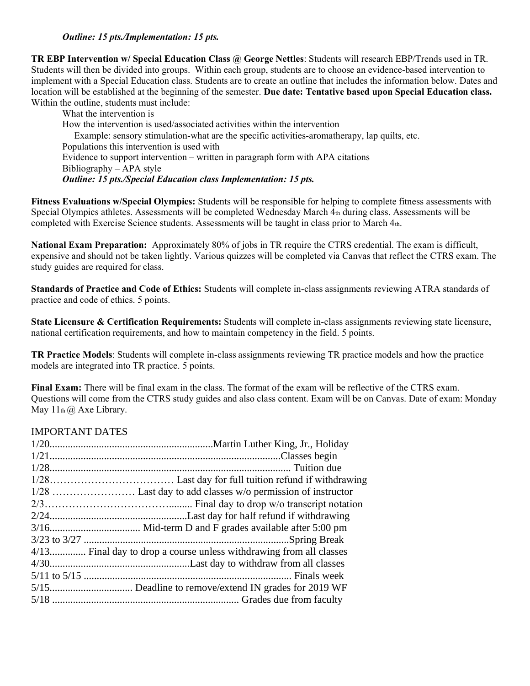## *Outline: 15 pts./Implementation: 15 pts.*

**TR EBP Intervention w/ Special Education Class @ George Nettles**: Students will research EBP/Trends used in TR. Students will then be divided into groups. Within each group, students are to choose an evidence-based intervention to implement with a Special Education class. Students are to create an outline that includes the information below. Dates and location will be established at the beginning of the semester. **Due date: Tentative based upon Special Education class.** Within the outline, students must include:

What the intervention is How the intervention is used/associated activities within the intervention Example: sensory stimulation-what are the specific activities-aromatherapy, lap quilts, etc. Populations this intervention is used with Evidence to support intervention – written in paragraph form with APA citations Bibliography – APA style *Outline: 15 pts./Special Education class Implementation: 15 pts.*

**Fitness Evaluations w/Special Olympics:** Students will be responsible for helping to complete fitness assessments with Special Olympics athletes. Assessments will be completed Wednesday March 4th during class. Assessments will be completed with Exercise Science students. Assessments will be taught in class prior to March 4th.

**National Exam Preparation:** Approximately 80% of jobs in TR require the CTRS credential. The exam is difficult, expensive and should not be taken lightly. Various quizzes will be completed via Canvas that reflect the CTRS exam. The study guides are required for class.

**Standards of Practice and Code of Ethics:** Students will complete in-class assignments reviewing ATRA standards of practice and code of ethics. 5 points.

**State Licensure & Certification Requirements:** Students will complete in-class assignments reviewing state licensure, national certification requirements, and how to maintain competency in the field. 5 points.

**TR Practice Models**: Students will complete in-class assignments reviewing TR practice models and how the practice models are integrated into TR practice. 5 points.

**Final Exam:** There will be final exam in the class. The format of the exam will be reflective of the CTRS exam. Questions will come from the CTRS study guides and also class content. Exam will be on Canvas. Date of exam: Monday May  $11<sub>th</sub>(a)$  Axe Library.

# IMPORTANT DATES

| 4/13 Final day to drop a course unless withdrawing from all classes |
|---------------------------------------------------------------------|
|                                                                     |
|                                                                     |
|                                                                     |
|                                                                     |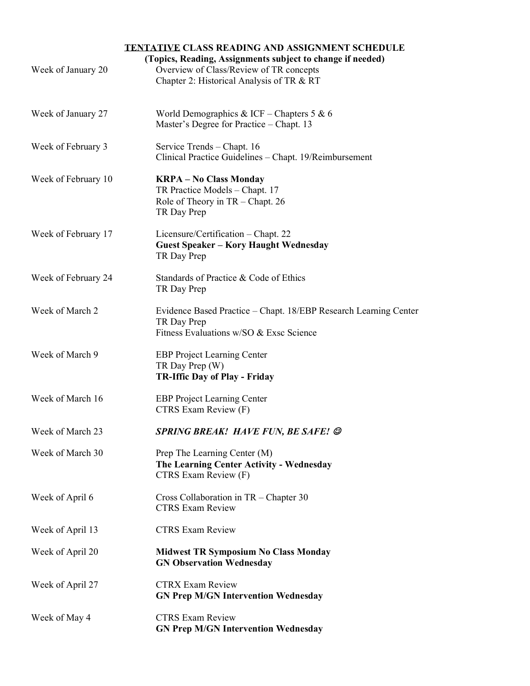# **TENTATIVE CLASS READING AND ASSIGNMENT SCHEDULE**

| Week of January 20  | (Topics, Reading, Assignments subject to change if needed)<br>Overview of Class/Review of TR concepts<br>Chapter 2: Historical Analysis of TR & RT |
|---------------------|----------------------------------------------------------------------------------------------------------------------------------------------------|
| Week of January 27  | World Demographics & ICF – Chapters 5 & 6<br>Master's Degree for Practice - Chapt. 13                                                              |
| Week of February 3  | Service Trends – Chapt. 16<br>Clinical Practice Guidelines - Chapt. 19/Reimbursement                                                               |
| Week of February 10 | <b>KRPA - No Class Monday</b><br>TR Practice Models - Chapt. 17<br>Role of Theory in TR - Chapt. 26<br>TR Day Prep                                 |
| Week of February 17 | Licensure/Certification - Chapt. 22<br><b>Guest Speaker - Kory Haught Wednesday</b><br>TR Day Prep                                                 |
| Week of February 24 | Standards of Practice & Code of Ethics<br>TR Day Prep                                                                                              |
| Week of March 2     | Evidence Based Practice - Chapt. 18/EBP Research Learning Center<br>TR Day Prep<br>Fitness Evaluations w/SO & Exsc Science                         |
| Week of March 9     | <b>EBP</b> Project Learning Center<br>TR Day Prep (W)<br><b>TR-Iffic Day of Play - Friday</b>                                                      |
| Week of March 16    | <b>EBP Project Learning Center</b><br>CTRS Exam Review (F)                                                                                         |
| Week of March 23    | <b>SPRING BREAK! HAVE FUN, BE SAFE! ©</b>                                                                                                          |
| Week of March 30    | Prep The Learning Center (M)<br>The Learning Center Activity - Wednesday<br>CTRS Exam Review (F)                                                   |
| Week of April 6     | Cross Collaboration in $TR$ – Chapter 30<br><b>CTRS Exam Review</b>                                                                                |
| Week of April 13    | <b>CTRS Exam Review</b>                                                                                                                            |
| Week of April 20    | <b>Midwest TR Symposium No Class Monday</b><br><b>GN Observation Wednesday</b>                                                                     |
| Week of April 27    | <b>CTRX Exam Review</b><br><b>GN Prep M/GN Intervention Wednesday</b>                                                                              |
| Week of May 4       | <b>CTRS Exam Review</b><br><b>GN Prep M/GN Intervention Wednesday</b>                                                                              |